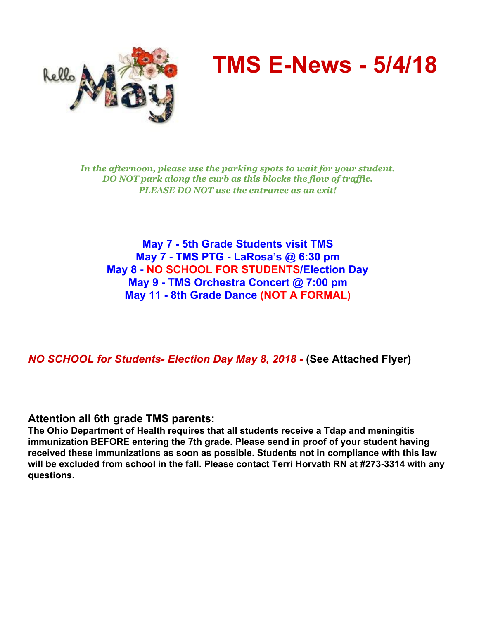

# **TMS E-News - 5/4/18**

*In the afternoon, please use the parking spots to wait for your student. DO NOT park along the curb as this blocks the flow of traf ic. PLEASE DO NOT use the entrance as an exit!*

**May 7 - 5th Grade Students visit TMS May 7 - TMS PTG - LaRosa's @ 6:30 pm May 8 - NO SCHOOL FOR STUDENTS/Election Day May 9 - TMS Orchestra Concert @ 7:00 pm May 11 - 8th Grade Dance (NOT A FORMAL)**

*NO SCHOOL for Students- Election Day May 8, 2018 -* **(See Attached Flyer)**

**Attention all 6th grade TMS parents:**

**The Ohio Department of Health requires that all students receive a Tdap and meningitis immunization BEFORE entering the 7th grade. Please send in proof of your student having received these immunizations as soon as possible. Students not in compliance with this law will be excluded from school in the fall. Please contact Terri Horvath RN at #273-3314 with any questions.**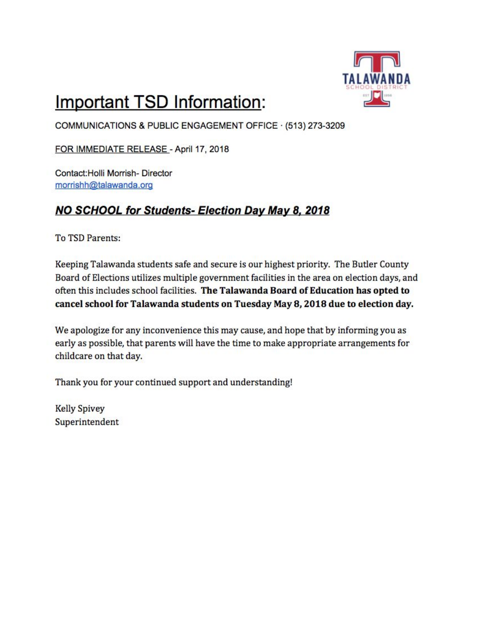

## **Important TSD Information:**

COMMUNICATIONS & PUBLIC ENGAGEMENT OFFICE · (513) 273-3209

FOR IMMEDIATE RELEASE - April 17, 2018

Contact: Holli Morrish- Director morrishh@talawanda.org

### NO SCHOOL for Students- Election Day May 8, 2018

To TSD Parents:

Keeping Talawanda students safe and secure is our highest priority. The Butler County Board of Elections utilizes multiple government facilities in the area on election days, and often this includes school facilities. The Talawanda Board of Education has opted to cancel school for Talawanda students on Tuesday May 8, 2018 due to election day.

We apologize for any inconvenience this may cause, and hope that by informing you as early as possible, that parents will have the time to make appropriate arrangements for childcare on that day.

Thank you for your continued support and understanding!

**Kelly Spivey** Superintendent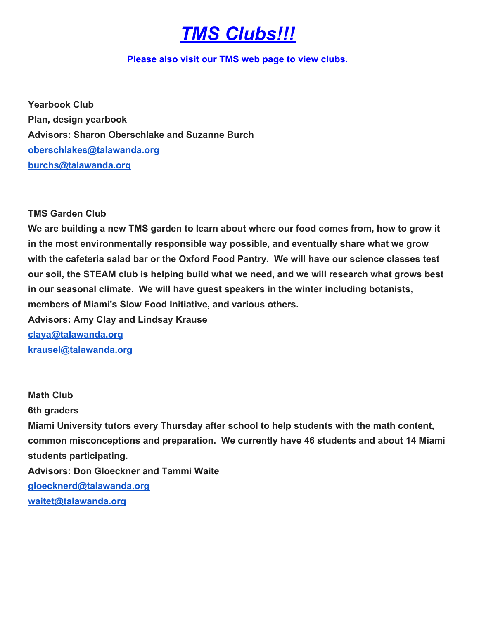### *TMS Clubs!!!*

#### **Please also visit our TMS web page to view clubs.**

**Yearbook Club Plan, design yearbook Advisors: Sharon Oberschlake and Suzanne Burch oberschlakes@talawanda.org burchs@talawanda.org**

**TMS Garden Club**

**We are building a new TMS garden to learn about where our food comes from, how to grow it in the most environmentally responsible way possible, and eventually share what we grow with the cafeteria salad bar or the Oxford Food Pantry. We will have our science classes test our soil, the STEAM club is helping build what we need, and we will research what grows best in our seasonal climate. We will have guest speakers in the winter including botanists, members of Miami's Slow Food Initiative, and various others.**

**Advisors: Amy Clay and Lindsay Krause claya@talawanda.org krausel@talawanda.org**

**Math Club 6th graders Miami University tutors every Thursday after school to help students with the math content, common misconceptions and preparation. We currently have 46 students and about 14 Miami students participating. Advisors: Don Gloeckner and Tammi Waite gloecknerd@talawanda.org waitet@talawanda.org**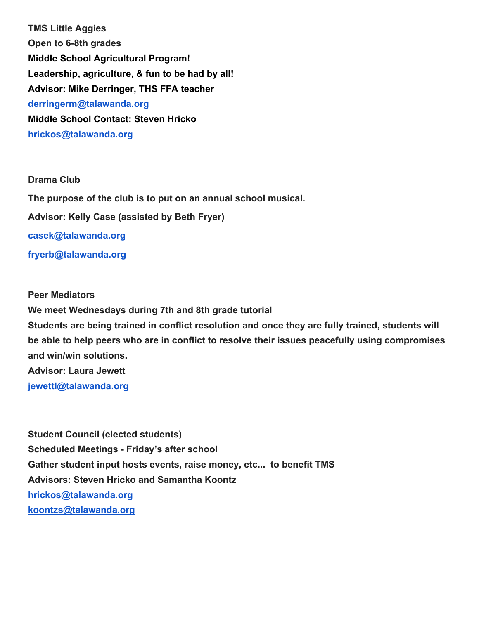**TMS Little Aggies Open to 6-8th grades Middle School Agricultural Program! Leadership, agriculture, & fun to be had by all! Advisor: Mike Derringer, THS FFA teacher derringerm@talawanda.org Middle School Contact: Steven Hricko hrickos@talawanda.org**

#### **Drama Club**

**The purpose of the club is to put on an annual school musical. Advisor: Kelly Case (assisted by Beth Fryer) casek@talawanda.org fryerb@talawanda.org**

#### **Peer Mediators**

**We meet Wednesdays during 7th and 8th grade tutorial Students are being trained in conflict resolution and once they are fully trained, students will be able to help peers who are in conflict to resolve their issues peacefully using compromises and win/win solutions. Advisor: Laura Jewett jewettl@talawanda.org**

**Student Council (elected students) Scheduled Meetings - Friday's after school Gather student input hosts events, raise money, etc... to benefit TMS Advisors: Steven Hricko and Samantha Koontz hrickos@talawanda.org koontzs@talawanda.org**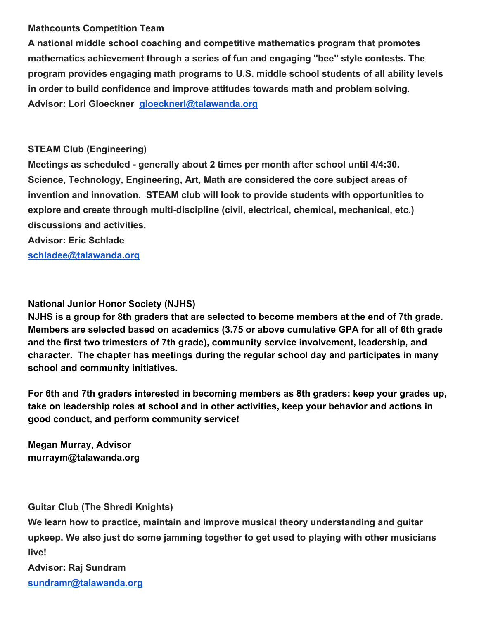#### **Mathcounts Competition Team**

**A national middle school coaching and competitive mathematics program that promotes mathematics achievement through a series of fun and engaging "bee" style contests. The program provides engaging math programs to U.S. middle school students of all ability levels in order to build confidence and improve attitudes towards math and problem solving. Advisor: Lori Gloeckner gloecknerl@talawanda.org**

#### **STEAM Club (Engineering)**

**Meetings as scheduled - generally about 2 times per month after school until 4/4:30. Science, Technology, Engineering, Art, Math are considered the core subject areas of invention and innovation. STEAM club will look to provide students with opportunities to explore and create through multi-discipline (civil, electrical, chemical, mechanical, etc.) discussions and activities.**

**Advisor: Eric Schlade**

**schladee@talawanda.org**

#### **National Junior Honor Society (NJHS)**

**NJHS is a group for 8th graders that are selected to become members at the end of 7th grade. Members are selected based on academics (3.75 or above cumulative GPA for all of 6th grade and the first two trimesters of 7th grade), community service involvement, leadership, and character. The chapter has meetings during the regular school day and participates in many school and community initiatives.**

**For 6th and 7th graders interested in becoming members as 8th graders: keep your grades up, take on leadership roles at school and in other activities, keep your behavior and actions in good conduct, and perform community service!**

**Megan Murray, Advisor murraym@talawanda.org**

**Guitar Club (The Shredi Knights)**

**We learn how to practice, maintain and improve musical theory understanding and guitar upkeep. We also just do some jamming together to get used to playing with other musicians live!**

**Advisor: Raj Sundram sundramr@talawanda.org**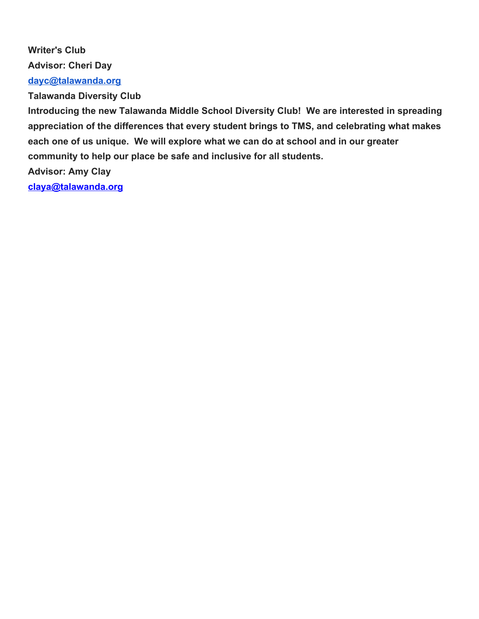**Writer's Club Advisor: Cheri Day [dayc@talawanda.org](mailto:dayc@talawanda.org) Talawanda Diversity Club**

**Introducing the new Talawanda Middle School Diversity Club! We are interested in spreading appreciation of the differences that every student brings to TMS, and celebrating what makes each one of us unique. We will explore what we can do at school and in our greater community to help our place be safe and inclusive for all students. Advisor: Amy Clay**

**claya@talawanda.org**